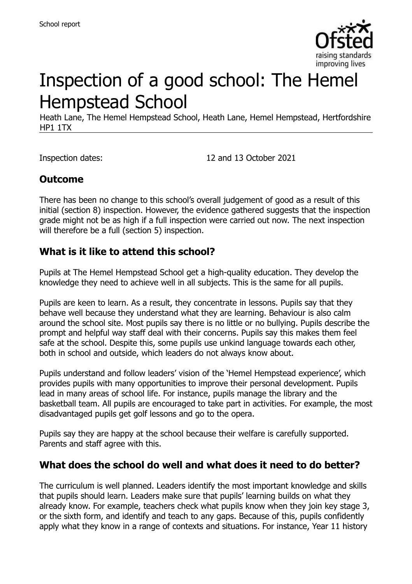

# Inspection of a good school: The Hemel Hempstead School

Heath Lane, The Hemel Hempstead School, Heath Lane, Hemel Hempstead, Hertfordshire HP1 1TX

Inspection dates: 12 and 13 October 2021

## **Outcome**

There has been no change to this school's overall judgement of good as a result of this initial (section 8) inspection. However, the evidence gathered suggests that the inspection grade might not be as high if a full inspection were carried out now. The next inspection will therefore be a full (section 5) inspection.

#### **What is it like to attend this school?**

Pupils at The Hemel Hempstead School get a high-quality education. They develop the knowledge they need to achieve well in all subjects. This is the same for all pupils.

Pupils are keen to learn. As a result, they concentrate in lessons. Pupils say that they behave well because they understand what they are learning. Behaviour is also calm around the school site. Most pupils say there is no little or no bullying. Pupils describe the prompt and helpful way staff deal with their concerns. Pupils say this makes them feel safe at the school. Despite this, some pupils use unkind language towards each other, both in school and outside, which leaders do not always know about.

Pupils understand and follow leaders' vision of the 'Hemel Hempstead experience', which provides pupils with many opportunities to improve their personal development. Pupils lead in many areas of school life. For instance, pupils manage the library and the basketball team. All pupils are encouraged to take part in activities. For example, the most disadvantaged pupils get golf lessons and go to the opera.

Pupils say they are happy at the school because their welfare is carefully supported. Parents and staff agree with this.

#### **What does the school do well and what does it need to do better?**

The curriculum is well planned. Leaders identify the most important knowledge and skills that pupils should learn. Leaders make sure that pupils' learning builds on what they already know. For example, teachers check what pupils know when they join key stage 3, or the sixth form, and identify and teach to any gaps. Because of this, pupils confidently apply what they know in a range of contexts and situations. For instance, Year 11 history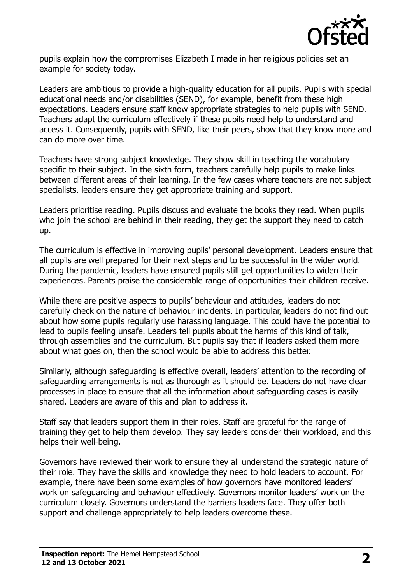

pupils explain how the compromises Elizabeth I made in her religious policies set an example for society today.

Leaders are ambitious to provide a high-quality education for all pupils. Pupils with special educational needs and/or disabilities (SEND), for example, benefit from these high expectations. Leaders ensure staff know appropriate strategies to help pupils with SEND. Teachers adapt the curriculum effectively if these pupils need help to understand and access it. Consequently, pupils with SEND, like their peers, show that they know more and can do more over time.

Teachers have strong subject knowledge. They show skill in teaching the vocabulary specific to their subject. In the sixth form, teachers carefully help pupils to make links between different areas of their learning. In the few cases where teachers are not subject specialists, leaders ensure they get appropriate training and support.

Leaders prioritise reading. Pupils discuss and evaluate the books they read. When pupils who join the school are behind in their reading, they get the support they need to catch up.

The curriculum is effective in improving pupils' personal development. Leaders ensure that all pupils are well prepared for their next steps and to be successful in the wider world. During the pandemic, leaders have ensured pupils still get opportunities to widen their experiences. Parents praise the considerable range of opportunities their children receive.

While there are positive aspects to pupils' behaviour and attitudes, leaders do not carefully check on the nature of behaviour incidents. In particular, leaders do not find out about how some pupils regularly use harassing language. This could have the potential to lead to pupils feeling unsafe. Leaders tell pupils about the harms of this kind of talk, through assemblies and the curriculum. But pupils say that if leaders asked them more about what goes on, then the school would be able to address this better.

Similarly, although safeguarding is effective overall, leaders' attention to the recording of safeguarding arrangements is not as thorough as it should be. Leaders do not have clear processes in place to ensure that all the information about safeguarding cases is easily shared. Leaders are aware of this and plan to address it.

Staff say that leaders support them in their roles. Staff are grateful for the range of training they get to help them develop. They say leaders consider their workload, and this helps their well-being.

Governors have reviewed their work to ensure they all understand the strategic nature of their role. They have the skills and knowledge they need to hold leaders to account. For example, there have been some examples of how governors have monitored leaders' work on safeguarding and behaviour effectively. Governors monitor leaders' work on the curriculum closely. Governors understand the barriers leaders face. They offer both support and challenge appropriately to help leaders overcome these.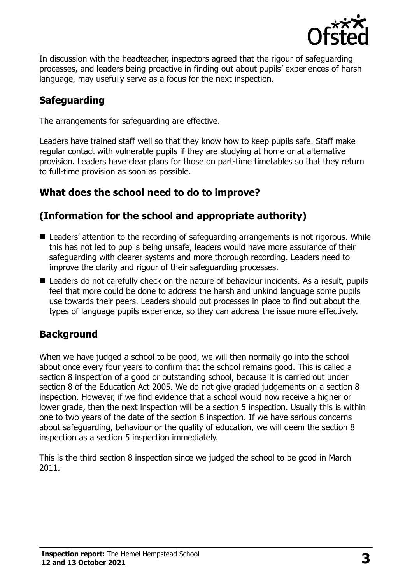

In discussion with the headteacher, inspectors agreed that the rigour of safeguarding processes, and leaders being proactive in finding out about pupils' experiences of harsh language, may usefully serve as a focus for the next inspection.

# **Safeguarding**

The arrangements for safeguarding are effective.

Leaders have trained staff well so that they know how to keep pupils safe. Staff make regular contact with vulnerable pupils if they are studying at home or at alternative provision. Leaders have clear plans for those on part-time timetables so that they return to full-time provision as soon as possible.

# **What does the school need to do to improve?**

# **(Information for the school and appropriate authority)**

- Leaders' attention to the recording of safeguarding arrangements is not rigorous. While this has not led to pupils being unsafe, leaders would have more assurance of their safeguarding with clearer systems and more thorough recording. Leaders need to improve the clarity and rigour of their safeguarding processes.
- Leaders do not carefully check on the nature of behaviour incidents. As a result, pupils feel that more could be done to address the harsh and unkind language some pupils use towards their peers. Leaders should put processes in place to find out about the types of language pupils experience, so they can address the issue more effectively.

# **Background**

When we have judged a school to be good, we will then normally go into the school about once every four years to confirm that the school remains good. This is called a section 8 inspection of a good or outstanding school, because it is carried out under section 8 of the Education Act 2005. We do not give graded judgements on a section 8 inspection. However, if we find evidence that a school would now receive a higher or lower grade, then the next inspection will be a section 5 inspection. Usually this is within one to two years of the date of the section 8 inspection. If we have serious concerns about safeguarding, behaviour or the quality of education, we will deem the section 8 inspection as a section 5 inspection immediately.

This is the third section 8 inspection since we judged the school to be good in March 2011.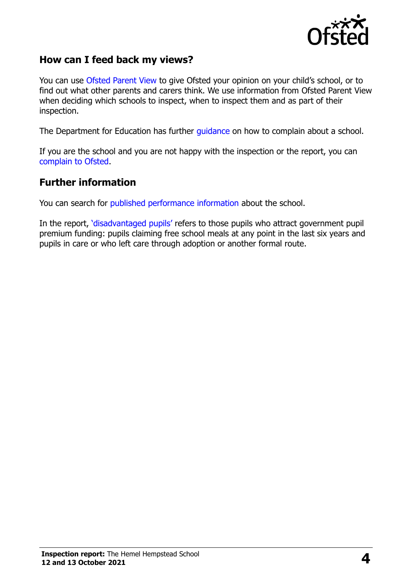

#### **How can I feed back my views?**

You can use [Ofsted Parent View](https://parentview.ofsted.gov.uk/) to give Ofsted your opinion on your child's school, or to find out what other parents and carers think. We use information from Ofsted Parent View when deciding which schools to inspect, when to inspect them and as part of their inspection.

The Department for Education has further [guidance](http://www.gov.uk/complain-about-school) on how to complain about a school.

If you are the school and you are not happy with the inspection or the report, you can [complain to Ofsted.](https://www.gov.uk/complain-ofsted-report)

#### **Further information**

You can search for [published performance information](http://www.compare-school-performance.service.gov.uk/) about the school.

In the report, '[disadvantaged pupils](http://www.gov.uk/guidance/pupil-premium-information-for-schools-and-alternative-provision-settings)' refers to those pupils who attract government pupil premium funding: pupils claiming free school meals at any point in the last six years and pupils in care or who left care through adoption or another formal route.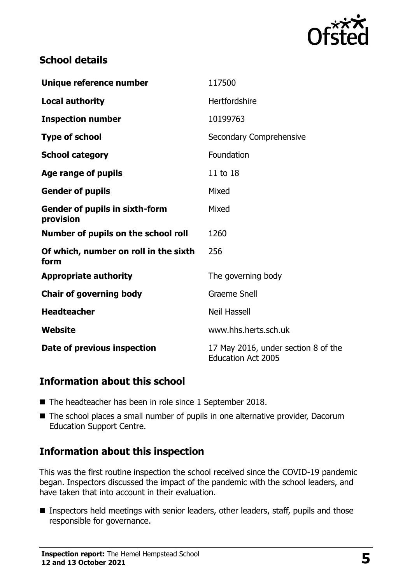

## **School details**

| Unique reference number                            | 117500                                                           |
|----------------------------------------------------|------------------------------------------------------------------|
| <b>Local authority</b>                             | Hertfordshire                                                    |
| <b>Inspection number</b>                           | 10199763                                                         |
| <b>Type of school</b>                              | Secondary Comprehensive                                          |
| <b>School category</b>                             | Foundation                                                       |
| Age range of pupils                                | 11 to 18                                                         |
| <b>Gender of pupils</b>                            | Mixed                                                            |
| <b>Gender of pupils in sixth-form</b><br>provision | Mixed                                                            |
| Number of pupils on the school roll                | 1260                                                             |
| Of which, number on roll in the sixth<br>form      | 256                                                              |
| <b>Appropriate authority</b>                       | The governing body                                               |
| <b>Chair of governing body</b>                     | <b>Graeme Snell</b>                                              |
| <b>Headteacher</b>                                 | <b>Neil Hassell</b>                                              |
| <b>Website</b>                                     | www.hhs.herts.sch.uk                                             |
| Date of previous inspection                        | 17 May 2016, under section 8 of the<br><b>Education Act 2005</b> |

#### **Information about this school**

- The headteacher has been in role since 1 September 2018.
- The school places a small number of pupils in one alternative provider, Dacorum Education Support Centre.

# **Information about this inspection**

This was the first routine inspection the school received since the COVID-19 pandemic began. Inspectors discussed the impact of the pandemic with the school leaders, and have taken that into account in their evaluation.

**Inspectors held meetings with senior leaders, other leaders, staff, pupils and those** responsible for governance.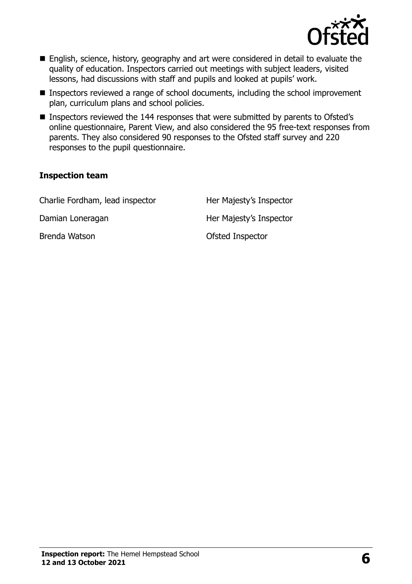

- English, science, history, geography and art were considered in detail to evaluate the quality of education. Inspectors carried out meetings with subject leaders, visited lessons, had discussions with staff and pupils and looked at pupils' work.
- Inspectors reviewed a range of school documents, including the school improvement plan, curriculum plans and school policies.
- Inspectors reviewed the 144 responses that were submitted by parents to Ofsted's online questionnaire, Parent View, and also considered the 95 free-text responses from parents. They also considered 90 responses to the Ofsted staff survey and 220 responses to the pupil questionnaire.

#### **Inspection team**

| Charlie Fordham, lead inspector | Her Majesty's Inspector |
|---------------------------------|-------------------------|
| Damian Loneragan                | Her Majesty's Inspector |
| Brenda Watson                   | Ofsted Inspector        |